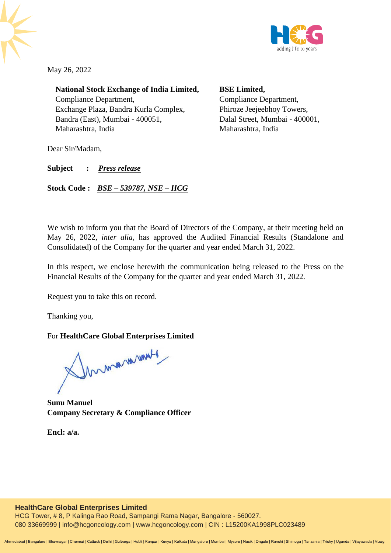

May 26, 2022

**National Stock Exchange of India Limited,** Compliance Department, Exchange Plaza, Bandra Kurla Complex, Bandra (East), Mumbai - 400051, Maharashtra, India

**BSE Limited,** Compliance Department, Phiroze Jeejeebhoy Towers, Dalal Street, Mumbai - 400001, Maharashtra, India

Dear Sir/Madam,

**Subject :** *Press release*

**Stock Code :** *BSE – 539787, NSE – HCG*

We wish to inform you that the Board of Directors of the Company, at their meeting held on May 26, 2022, *inter alia,* has approved the Audited Financial Results (Standalone and Consolidated) of the Company for the quarter and year ended March 31, 2022.

In this respect, we enclose herewith the communication being released to the Press on the Financial Results of the Company for the quarter and year ended March 31, 2022.

Request you to take this on record.

Thanking you,

## For **HealthCare Global Enterprises Limited**

Innmanuerunt

**Sunu Manuel Company Secretary & Compliance Officer**

**Encl: a/a.**

## **HealthCare Global Enterprises Limited**

HCG Tower, # 8, P Kalinga Rao Road, Sampangi Rama Nagar, Bangalore - 560027. 080 33669999 | [info@hcgoncology.com](mailto:info@hcgoncology.com) | [www.hcgoncology.com](http://www.hcgoncology.com/) | CIN : L15200KA1998PLC023489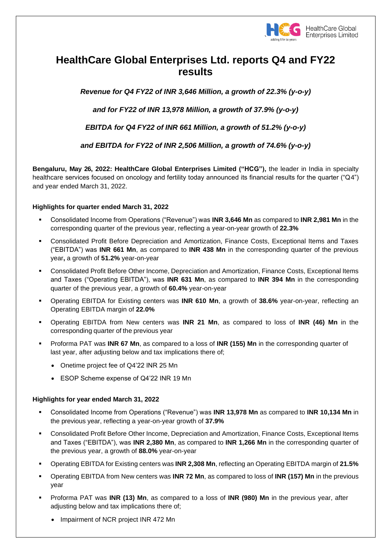

# **HealthCare Global Enterprises Ltd. reports Q4 and FY22 results**

*Revenue for Q4 FY22 of INR 3,646 Million, a growth of 22.3% (y-o-y)* 

*and for FY22 of INR 13,978 Million, a growth of 37.9% (y-o-y)* 

*EBITDA for Q4 FY22 of INR 661 Million, a growth of 51.2% (y-o-y)*

*and EBITDA for FY22 of INR 2,506 Million, a growth of 74.6% (y-o-y)*

**Bengaluru, May 26, 2022: HealthCare Global Enterprises Limited ("HCG"),** the leader in India in specialty healthcare services focused on oncology and fertility today announced its financial results for the quarter ("Q4") and year ended March 31, 2022.

## **Highlights for quarter ended March 31, 2022**

- Consolidated Income from Operations ("Revenue") was **INR 3,646 Mn** as compared to **INR 2,981 Mn** in the corresponding quarter of the previous year, reflecting a year-on-year growth of **22.3%**
- Consolidated Profit Before Depreciation and Amortization, Finance Costs, Exceptional Items and Taxes ("EBITDA") was **INR 661 Mn**, as compared to **INR 438 Mn** in the corresponding quarter of the previous year**,** a growth of **51.2%** year-on-year
- Consolidated Profit Before Other Income, Depreciation and Amortization, Finance Costs, Exceptional Items and Taxes ("Operating EBITDA"), was **INR 631 Mn**, as compared to **INR 394 Mn** in the corresponding quarter of the previous year, a growth of **60.4%** year-on-year
- Operating EBITDA for Existing centers was **INR 610 Mn**, a growth of **38.6%** year-on-year, reflecting an Operating EBITDA margin of **22.0%**
- Operating EBITDA from New centers was **INR 21 Mn**, as compared to loss of **INR (46) Mn** in the corresponding quarter of the previous year
- Proforma PAT was **INR 67 Mn**, as compared to a loss of **INR (155) Mn** in the corresponding quarter of last year, after adjusting below and tax implications there of;
	- Onetime project fee of Q4'22 INR 25 Mn
	- ESOP Scheme expense of Q4'22 INR 19 Mn

## **Highlights for year ended March 31, 2022**

- Consolidated Income from Operations ("Revenue") was **INR 13,978 Mn** as compared to **INR 10,134 Mn** in the previous year, reflecting a year-on-year growth of **37.9%**
- Consolidated Profit Before Other Income, Depreciation and Amortization, Finance Costs, Exceptional Items and Taxes ("EBITDA"), was **INR 2,380 Mn**, as compared to **INR 1,266 Mn** in the corresponding quarter of the previous year, a growth of **88.0%** year-on-year
- Operating EBITDA for Existing centers was **INR 2,308 Mn**, reflecting an Operating EBITDA margin of **21.5%**
- Operating EBITDA from New centers was **INR 72 Mn**, as compared to loss of **INR (157) Mn** in the previous year
- Proforma PAT was **INR (13) Mn**, as compared to a loss of **INR (980) Mn** in the previous year, after adjusting below and tax implications there of;
	- Impairment of NCR project INR 472 Mn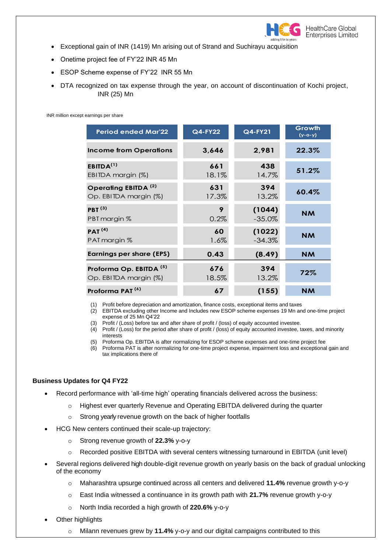

- Exceptional gain of INR (1419) Mn arising out of Strand and Suchirayu acquisition
- Onetime project fee of FY'22 INR 45 Mn
- ESOP Scheme expense of FY'22 INR 55 Mn
- DTA recognized on tax expense through the year, on account of discontinuation of Kochi project, INR (25) Mn

INR million except earnings per share

| <b>Period ended Mar'22</b>         | <b>Q4-FY22</b> | Q4-FY21   | Growth<br>$(y - 0 - y)$ |
|------------------------------------|----------------|-----------|-------------------------|
| <b>Income from Operations</b>      | 3,646          | 2,981     | 22.3%                   |
| EBITDA <sup>(1)</sup>              | 661            | 438       | 51.2%                   |
| EBITDA margin $(\%)$               | 18.1%          | 14.7%     |                         |
| Operating EBITDA <sup>(2)</sup>    | 631            | 394       | 60.4%                   |
| Op. EBITDA margin (%)              | 17.3%          | 13.2%     |                         |
| PBT $(3)$                          | 9              | (1044)    | <b>NM</b>               |
| PBT margin %                       | 0.2%           | $-35.0\%$ |                         |
| PAT <sup>(4)</sup>                 | 60             | (1022)    | <b>NM</b>               |
| PAT margin %                       | $1.6\%$        | $-34.3%$  |                         |
| <b>Earnings per share (EPS)</b>    | 0.43           | (8.49)    | <b>NM</b>               |
| Proforma Op. EBITDA <sup>(5)</sup> | 676            | 394       | 72%                     |
| Op. EBITDA margin (%)              | 18.5%          | 13.2%     |                         |
| Proforma PAT <sup>(6)</sup>        | 67             | (155)     | <b>NM</b>               |

(1) Profit before depreciation and amortization, finance costs, exceptional items and taxes

(2) EBITDA excluding other Income and Includes new ESOP scheme expenses 19 Mn and one-time project expense of 25 Mn Q4'22

(3) Profit / (Loss) before tax and after share of profit / (loss) of equity accounted investee.

- (4) Profit / (Loss) for the period after share of profit / (loss) of equity accounted investee, taxes, and minority interests
- (5) Proforma Op. EBITDA is after normalizing for ESOP scheme expenses and one-time project fee

(6) Proforma PAT is after normalizing for one-time project expense, impairment loss and exceptional gain and tax implications there of

#### **Business Updates for Q4 FY22**

- Record performance with 'all-time high' operating financials delivered across the business:
	- o Highest ever quarterly Revenue and Operating EBITDA delivered during the quarter
	- o Strong yearly revenue growth on the back of higher footfalls
- HCG New centers continued their scale-up trajectory:
	- o Strong revenue growth of **22.3%** y-o-y
	- o Recorded positive EBITDA with several centers witnessing turnaround in EBITDA (unit level)
- Several regions delivered high double-digit revenue growth on yearly basis on the back of gradual unlocking of the economy
	- o Maharashtra upsurge continued across all centers and delivered **11.4%** revenue growth y-o-y
	- o East India witnessed a continuance in its growth path with **21.7%** revenue growth y-o-y
	- o North India recorded a high growth of **220.6%** y-o-y
- **Other highlights** 
	- o Milann revenues grew by **11.4%** y-o-y and our digital campaigns contributed to this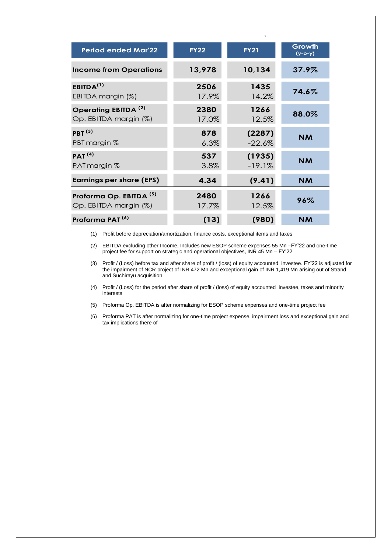| <b>Period ended Mar'22</b>         | <b>FY22</b> | <b>FY21</b> | Growth<br>$(y - 0 - y)$ |
|------------------------------------|-------------|-------------|-------------------------|
| <b>Income from Operations</b>      | 13,978      | 10,134      | $37.9\%$                |
| EBITDA <sup>(1)</sup>              | 2506        | 1435        | 74.6%                   |
| EBITDA margin (%)                  | 17.9%       | 14.2%       |                         |
| Operating EBITDA <sup>(2)</sup>    | 2380        | 1266        | 88.0%                   |
| Op. EBITDA margin (%)              | 17.0%       | 12.5%       |                         |
| PBT $(3)$                          | 878         | (2287)      | <b>NM</b>               |
| PBT margin %                       | 6.3%        | $-22.6%$    |                         |
| PAT <sup>(4)</sup>                 | 537         | (1935)      | <b>NM</b>               |
| PAT margin %                       | 3.8%        | $-19.1%$    |                         |
| <b>Earnings per share (EPS)</b>    | 4.34        | (9.41)      | <b>NM</b>               |
| Proforma Op. EBITDA <sup>(5)</sup> | 2480        | 1266        | 96%                     |
| Op. EBITDA margin (%)              | 17.7%       | 12.5%       |                         |
| Proforma PAT <sup>(6)</sup>        | (13)        | (980)       | <b>NM</b>               |

(1) Profit before depreciation/amortization, finance costs, exceptional items and taxes

(2) EBITDA excluding other Income, Includes new ESOP scheme expenses 55 Mn –FY'22 and one-time project fee for support on strategic and operational objectives, INR 45 Mn – FY'22

(3) Profit / (Loss) before tax and after share of profit / (loss) of equity accounted investee. FY'22 is adjusted for the impairment of NCR project of INR 472 Mn and exceptional gain of INR 1,419 Mn arising out of Strand and Suchirayu acquisition

(4) Profit / (Loss) for the period after share of profit / (loss) of equity accounted investee, taxes and minority interests

(5) Proforma Op. EBITDA is after normalizing for ESOP scheme expenses and one-time project fee

(6) Proforma PAT is after normalizing for one-time project expense, impairment loss and exceptional gain and tax implications there of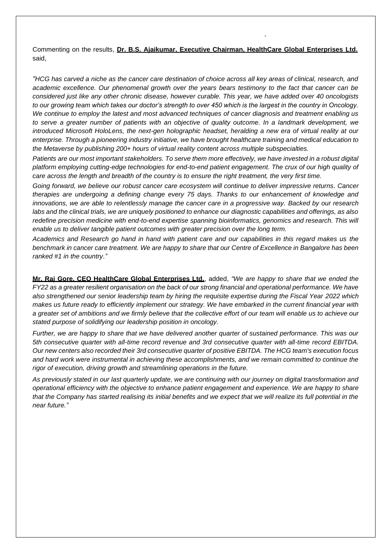Commenting on the results, **Dr. B.S. Ajaikumar, Executive Chairman, HealthCare Global Enterprises Ltd.** said,

`

*"HCG has carved a niche as the cancer care destination of choice across all key areas of clinical, research, and academic excellence. Our phenomenal growth over the years bears testimony to the fact that cancer can be considered just like any other chronic disease, however curable. This year, we have added over 40 oncologists to our growing team which takes our doctor's strength to over 450 which is the largest in the country in Oncology. We continue to employ the latest and most advanced techniques of cancer diagnosis and treatment enabling us to serve a greater number of patients with an objective of quality outcome. In a landmark development, we introduced Microsoft HoloLens, the next-gen holographic headset, heralding a new era of virtual reality at our enterprise. Through a pioneering industry initiative, we have brought healthcare training and medical education to the Metaverse by publishing 200+ hours of virtual reality content across multiple subspecialties.* 

*Patients are our most important stakeholders. To serve them more effectively, we have invested in a robust digital platform employing cutting-edge technologies for end-to-end patient engagement. The crux of our high quality of care across the length and breadth of the country is to ensure the right treatment, the very first time.* 

*Going forward, we believe our robust cancer care ecosystem will continue to deliver impressive returns. Cancer therapies are undergoing a defining change every 75 days. Thanks to our enhancement of knowledge and innovations, we are able to relentlessly manage the cancer care in a progressive way. Backed by our research labs and the clinical trials, we are uniquely positioned to enhance our diagnostic capabilities and offerings, as also*  redefine precision medicine with end-to-end expertise spanning bioinformatics, genomics and research. This will *enable us to deliver tangible patient outcomes with greater precision over the long term.*

*Academics and Research go hand in hand with patient care and our capabilities in this regard makes us the benchmark in cancer care treatment. We are happy to share that our Centre of Excellence in Bangalore has been ranked #1 in the country."*

**Mr. Raj Gore, CEO HealthCare Global Enterprises Ltd.**, added, *"We are happy to share that we ended the FY22 as a greater resilient organisation on the back of our strong financial and operational performance. We have also strengthened our senior leadership team by hiring the requisite expertise during the Fiscal Year 2022 which makes us future ready to efficiently implement our strategy. We have embarked in the current financial year with a greater set of ambitions and we firmly believe that the collective effort of our team will enable us to achieve our stated purpose of solidifying our leadership position in oncology.*

*Further, we are happy to share that we have delivered another quarter of sustained performance. This was our 5th consecutive quarter with all-time record revenue and 3rd consecutive quarter with all-time record EBITDA. Our new centers also recorded their 3rd consecutive quarter of positive EBITDA. The HCG team's execution focus and hard work were instrumental in achieving these accomplishments, and we remain committed to continue the rigor of execution, driving growth and streamlining operations in the future.*

*As previously stated in our last quarterly update, we are continuing with our journey on digital transformation and operational efficiency with the objective to enhance patient engagement and experience. We are happy to share that the Company has started realising its initial benefits and we expect that we will realize its full potential in the near future."*